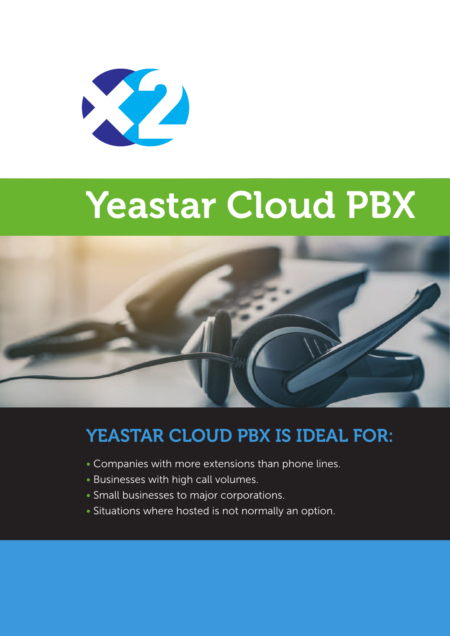

# **Yeastar Cloud PBX**



# **YEASTAR CLOUD PBX IS IDEAL FOR:**

- Companies with more extensions than phone lines.
- Businesses with high call volumes.
- Small businesses to major corporations.
- Situations where hosted is not normally an option.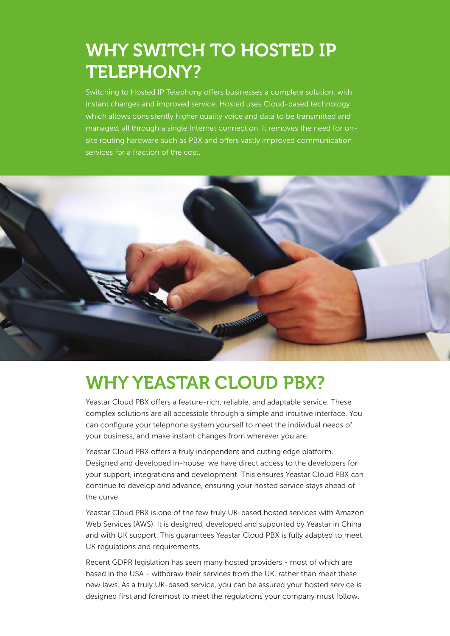### **WHY SWITCH TO HOSTED IP TELEPHONY?**

Switching to Hosted IP Telephony offers businesses a complete solution, with instant changes and improved service. Hosted uses Cloud-based technology which allows consistently higher quality voice and data to be transmitted and managed, all through a single Internet connection. It removes the need for onsite routing hardware such as PBX and offers vastly improved communication services for a fraction of the cost.



### **WHY YEASTAR CLOUD PBX?**

Yeastar Cloud PBX offers a feature-rich, reliable, and adaptable service. These complex solutions are all accessible through a simple and intuitive interface. You can configure your telephone system yourself to meet the individual needs of your business, and make instant changes from wherever you are.

Yeastar Cloud PBX offers a truly independent and cutting edge platform. Designed and developed in-house, we have direct access to the developers for your support, integrations and development. This ensures Yeastar Cloud PBX can continue to develop and advance, ensuring your hosted service stays ahead of the curve.

Yeastar Cloud PBX is one of the few truly UK-based hosted services with Amazon Web Services (AWS). It is designed, developed and supported by Yeastar in China and with UK support. This guarantees Yeastar Cloud PBX is fully adapted to meet UK regulations and requirements.

Recent GDPR legislation has seen many hosted providers - most of which are based in the USA - withdraw their services from the UK, rather than meet these new laws. As a truly UK-based service, you can be assured your hosted service is designed first and foremost to meet the regulations your company must follow.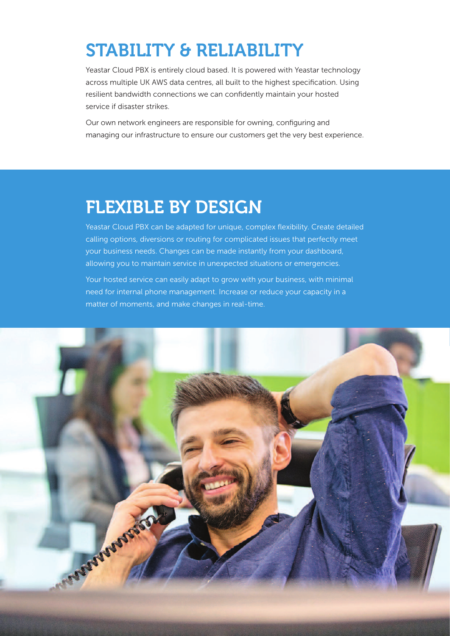# **STABILITY & RELIABILITY**

Yeastar Cloud PBX is entirely cloud based. It is powered with Yeastar technology across multiple UK AWS data centres, all built to the highest specification. Using resilient bandwidth connections we can confidently maintain your hosted service if disaster strikes.

Our own network engineers are responsible for owning, configuring and managing our infrastructure to ensure our customers get the very best experience.

### **FLEXIBLE BY DESIGN**

Yeastar Cloud PBX can be adapted for unique, complex flexibility. Create detailed calling options, diversions or routing for complicated issues that perfectly meet your business needs. Changes can be made instantly from your dashboard, allowing you to maintain service in unexpected situations or emergencies.

Your hosted service can easily adapt to grow with your business, with minimal need for internal phone management. Increase or reduce your capacity in a matter of moments, and make changes in real-time.

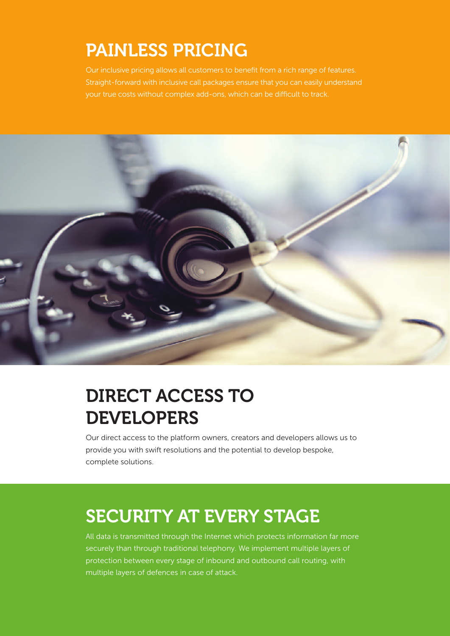## **PAINLESS PRICING**

Our inclusive pricing allows all customers to benefit from a rich range of features. Straight-forward with inclusive call packages ensure that you can easily understand your true costs without complex add-ons, which can be difficult to track.



# **DIRECT ACCESS TO DEVELOPERS**

Our direct access to the platform owners, creators and developers allows us to provide you with swift resolutions and the potential to develop bespoke, complete solutions.

# **SECURITY AT EVERY STAGE**

All data is transmitted through the Internet which protects information far more securely than through traditional telephony. We implement multiple layers of protection between every stage of inbound and outbound call routing, with multiple layers of defences in case of attack.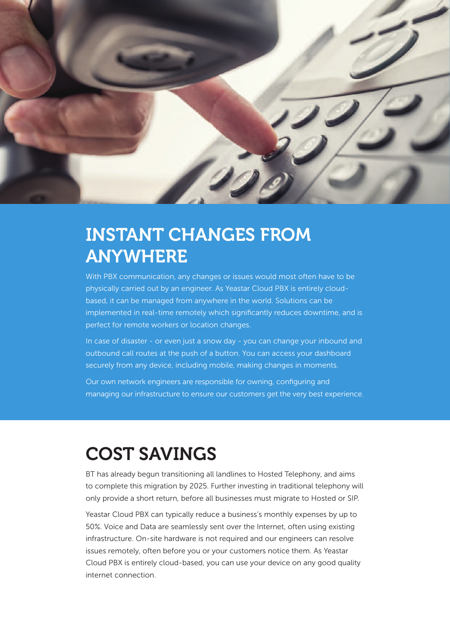

### **INSTANT CHANGES FROM ANYWHERE**

With PBX communication, any changes or issues would most often have to be physically carried out by an engineer. As Yeastar Cloud PBX is entirely cloudbased, it can be managed from anywhere in the world. Solutions can be implemented in real-time remotely which significantly reduces downtime, and is perfect for remote workers or location changes.

In case of disaster - or even just a snow day - you can change your inbound and outbound call routes at the push of a button. You can access your dashboard securely from any device, including mobile, making changes in moments.

Our own network engineers are responsible for owning, configuring and managing our infrastructure to ensure our customers get the very best experience.

### **COST SAVINGS**

BT has already begun transitioning all landlines to Hosted Telephony, and aims to complete this migration by 2025. Further investing in traditional telephony will only provide a short return, before all businesses must migrate to Hosted or SIP.

Yeastar Cloud PBX can typically reduce a business's monthly expenses by up to 50%. Voice and Data are seamlessly sent over the Internet, often using existing infrastructure. On-site hardware is not required and our engineers can resolve issues remotely, often before you or your customers notice them. As Yeastar Cloud PBX is entirely cloud-based, you can use your device on any good quality internet connection.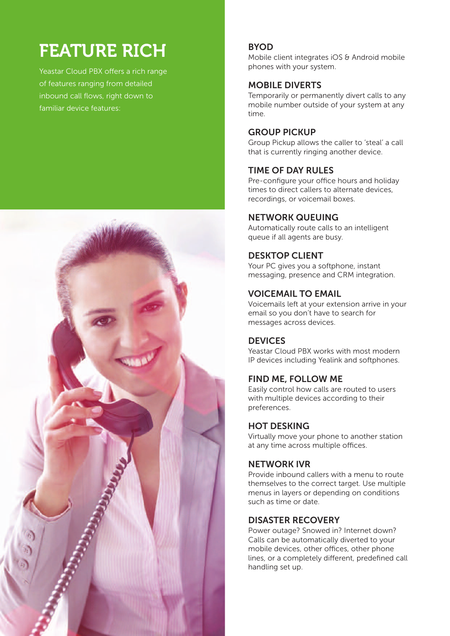# **FEATURE RICH**

Yeastar Cloud PBX offers a rich range of features ranging from detailed inbound call flows, right down to familiar device features:



#### **BYOD**

Mobile client integrates iOS & Android mobile phones with your system.

#### **MOBILE DIVERTS**

Temporarily or permanently divert calls to any mobile number outside of your system at any time.

#### **GROUP PICKUP**

Group Pickup allows the caller to 'steal' a call that is currently ringing another device.

#### **TIME OF DAY RULES**

Pre-configure your office hours and holiday times to direct callers to alternate devices, recordings, or voicemail boxes.

#### **NETWORK QUEUING**

Automatically route calls to an intelligent queue if all agents are busy.

#### **DESKTOP CLIENT**

Your PC gives you a softphone, instant messaging, presence and CRM integration.

#### **VOICEMAIL TO EMAIL**

Voicemails left at your extension arrive in your email so you don't have to search for messages across devices.

#### **DEVICES**

Yeastar Cloud PBX works with most modern IP devices including Yealink and softphones.

#### **FIND ME, FOLLOW ME**

Easily control how calls are routed to users with multiple devices according to their preferences.

#### **HOT DESKING**

Virtually move your phone to another station at any time across multiple offices.

#### **NETWORK IVR**

Provide inbound callers with a menu to route themselves to the correct target. Use multiple menus in layers or depending on conditions such as time or date.

#### **DISASTER RECOVERY**

Power outage? Snowed in? Internet down? Calls can be automatically diverted to your mobile devices, other offices, other phone lines, or a completely different, predefined call handling set up.